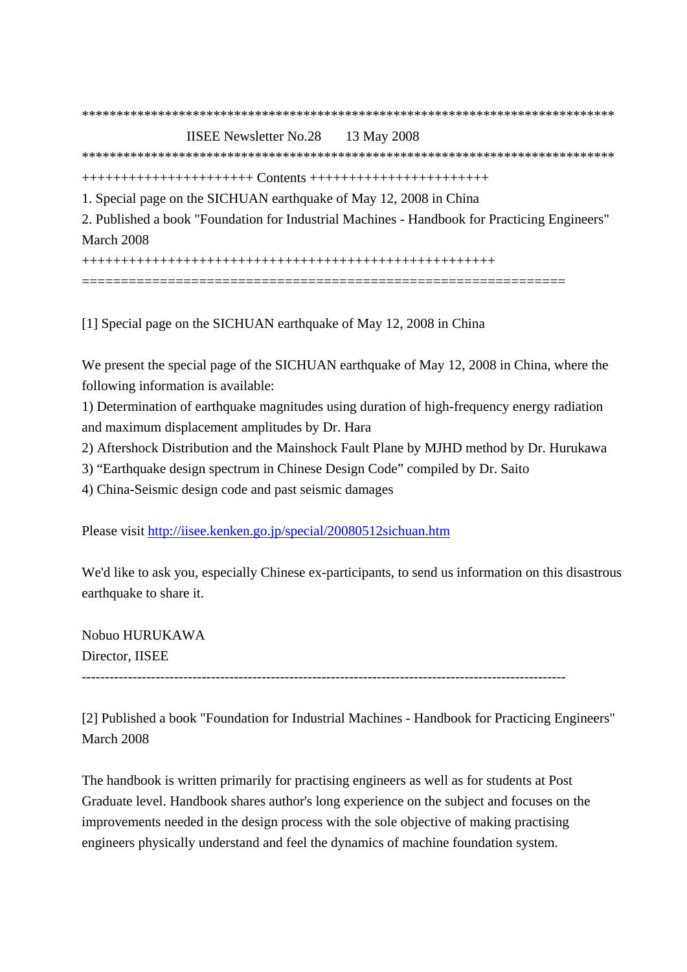| <b>IISEE Newsletter No.28</b><br>13 May 2008                                                 |
|----------------------------------------------------------------------------------------------|
|                                                                                              |
| $+++++++++++++++++++++++++++++++++++++++++++++$                                              |
| 1. Special page on the SICHUAN earthquake of May 12, 2008 in China                           |
| 2. Published a book "Foundation for Industrial Machines - Handbook for Practicing Engineers" |
| March 2008                                                                                   |
|                                                                                              |
|                                                                                              |

[1] Special page on the SICHUAN earthquake of May 12, 2008 in China

We present the special page of the SICHUAN earthquake of May 12, 2008 in China, where the following information is available:

1) Determination of earthquake magnitudes using duration of high-frequency energy radiation and maximum displacement amplitudes by Dr. Hara

2) Aftershock Distribution and the Mainshock Fault Plane by MJHD method by Dr. Hurukawa

3) "Earthquake design spectrum in Chinese Design Code" compiled by Dr. Saito

4) China-Seismic design code and past seismic damages

Please visit http://iisee.kenken.go.jp/special/20080512sichuan.htm

We'd like to ask you, especially Chinese ex-participants, to send us information on this disastrous earthquake to share it.

Nobuo HURUKAWA Director, IISEE

---------------------------------------------------------------------------------------------------------

[2] Published a book "Foundation for Industrial Machines - Handbook for Practicing Engineers" March 2008

The handbook is written primarily for practising engineers as well as for students at Post Graduate level. Handbook shares author's long experience on the subject and focuses on the improvements needed in the design process with the sole objective of making practising engineers physically understand and feel the dynamics of machine foundation system.